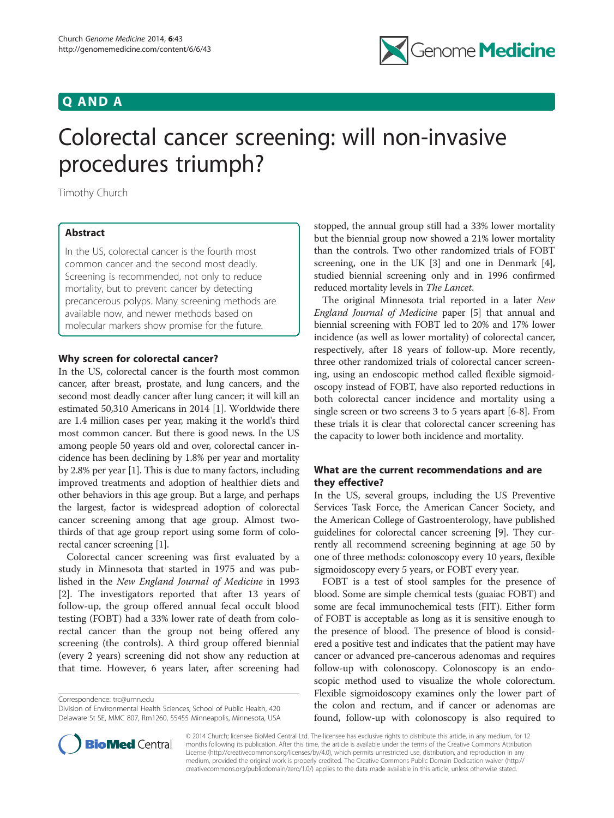# Q AND A



# Colorectal cancer screening: will non-invasive procedures triumph?

Timothy Church

# Abstract

In the US, colorectal cancer is the fourth most common cancer and the second most deadly. Screening is recommended, not only to reduce mortality, but to prevent cancer by detecting precancerous polyps. Many screening methods are available now, and newer methods based on molecular markers show promise for the future.

#### Why screen for colorectal cancer?

In the US, colorectal cancer is the fourth most common cancer, after breast, prostate, and lung cancers, and the second most deadly cancer after lung cancer; it will kill an estimated 50,310 Americans in 2014 [\[1](#page-2-0)]. Worldwide there are 1.4 million cases per year, making it the world's third most common cancer. But there is good news. In the US among people 50 years old and over, colorectal cancer incidence has been declining by 1.8% per year and mortality by 2.8% per year [\[1](#page-2-0)]. This is due to many factors, including improved treatments and adoption of healthier diets and other behaviors in this age group. But a large, and perhaps the largest, factor is widespread adoption of colorectal cancer screening among that age group. Almost twothirds of that age group report using some form of colorectal cancer screening [\[1\]](#page-2-0).

Colorectal cancer screening was first evaluated by a study in Minnesota that started in 1975 and was published in the New England Journal of Medicine in 1993 [[2\]](#page-2-0). The investigators reported that after 13 years of follow-up, the group offered annual fecal occult blood testing (FOBT) had a 33% lower rate of death from colorectal cancer than the group not being offered any screening (the controls). A third group offered biennial (every 2 years) screening did not show any reduction at that time. However, 6 years later, after screening had

Correspondence: [trc@umn.edu](mailto:trc@umn.edu)



The original Minnesota trial reported in a later New England Journal of Medicine paper [\[5](#page-2-0)] that annual and biennial screening with FOBT led to 20% and 17% lower incidence (as well as lower mortality) of colorectal cancer, respectively, after 18 years of follow-up. More recently, three other randomized trials of colorectal cancer screening, using an endoscopic method called flexible sigmoidoscopy instead of FOBT, have also reported reductions in both colorectal cancer incidence and mortality using a single screen or two screens 3 to 5 years apart [[6-8\]](#page-2-0). From these trials it is clear that colorectal cancer screening has the capacity to lower both incidence and mortality.

## What are the current recommendations and are they effective?

In the US, several groups, including the US Preventive Services Task Force, the American Cancer Society, and the American College of Gastroenterology, have published guidelines for colorectal cancer screening [\[9](#page-2-0)]. They currently all recommend screening beginning at age 50 by one of three methods: colonoscopy every 10 years, flexible sigmoidoscopy every 5 years, or FOBT every year.

FOBT is a test of stool samples for the presence of blood. Some are simple chemical tests (guaiac FOBT) and some are fecal immunochemical tests (FIT). Either form of FOBT is acceptable as long as it is sensitive enough to the presence of blood. The presence of blood is considered a positive test and indicates that the patient may have cancer or advanced pre-cancerous adenomas and requires follow-up with colonoscopy. Colonoscopy is an endoscopic method used to visualize the whole colorectum. Flexible sigmoidoscopy examines only the lower part of the colon and rectum, and if cancer or adenomas are found, follow-up with colonoscopy is also required to



© 2014 Church; licensee BioMed Central Ltd. The licensee has exclusive rights to distribute this article, in any medium, for 12 months following its publication. After this time, the article is available under the terms of the Creative Commons Attribution License (<http://creativecommons.org/licenses/by/4.0>), which permits unrestricted use, distribution, and reproduction in any medium, provided the original work is properly credited. The Creative Commons Public Domain Dedication waiver [\(http://](http://creativecommons.org/publicdomain/zero/1.0/) [creativecommons.org/publicdomain/zero/1.0/\)](http://creativecommons.org/publicdomain/zero/1.0/) applies to the data made available in this article, unless otherwise stated.

Division of Environmental Health Sciences, School of Public Health, 420 Delaware St SE, MMC 807, Rm1260, 55455 Minneapolis, Minnesota, USA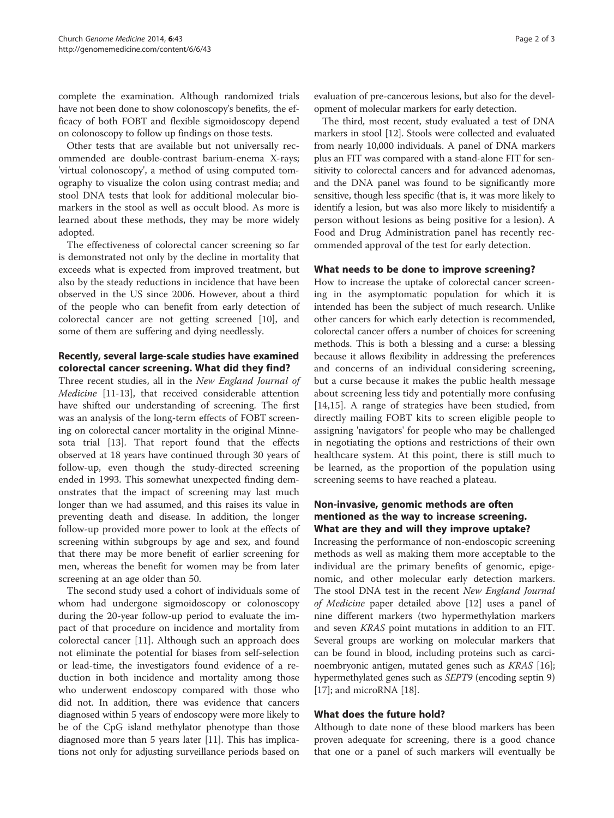complete the examination. Although randomized trials have not been done to show colonoscopy's benefits, the efficacy of both FOBT and flexible sigmoidoscopy depend on colonoscopy to follow up findings on those tests.

Other tests that are available but not universally recommended are double-contrast barium-enema X-rays; 'virtual colonoscopy', a method of using computed tomography to visualize the colon using contrast media; and stool DNA tests that look for additional molecular biomarkers in the stool as well as occult blood. As more is learned about these methods, they may be more widely adopted.

The effectiveness of colorectal cancer screening so far is demonstrated not only by the decline in mortality that exceeds what is expected from improved treatment, but also by the steady reductions in incidence that have been observed in the US since 2006. However, about a third of the people who can benefit from early detection of colorectal cancer are not getting screened [\[10\]](#page-2-0), and some of them are suffering and dying needlessly.

#### Recently, several large-scale studies have examined colorectal cancer screening. What did they find?

Three recent studies, all in the New England Journal of Medicine [[11-13\]](#page-2-0), that received considerable attention have shifted our understanding of screening. The first was an analysis of the long-term effects of FOBT screening on colorectal cancer mortality in the original Minnesota trial [\[13](#page-2-0)]. That report found that the effects observed at 18 years have continued through 30 years of follow-up, even though the study-directed screening ended in 1993. This somewhat unexpected finding demonstrates that the impact of screening may last much longer than we had assumed, and this raises its value in preventing death and disease. In addition, the longer follow-up provided more power to look at the effects of screening within subgroups by age and sex, and found that there may be more benefit of earlier screening for men, whereas the benefit for women may be from later screening at an age older than 50.

The second study used a cohort of individuals some of whom had undergone sigmoidoscopy or colonoscopy during the 20-year follow-up period to evaluate the impact of that procedure on incidence and mortality from colorectal cancer [[11\]](#page-2-0). Although such an approach does not eliminate the potential for biases from self-selection or lead-time, the investigators found evidence of a reduction in both incidence and mortality among those who underwent endoscopy compared with those who did not. In addition, there was evidence that cancers diagnosed within 5 years of endoscopy were more likely to be of the CpG island methylator phenotype than those diagnosed more than 5 years later [[11](#page-2-0)]. This has implications not only for adjusting surveillance periods based on

evaluation of pre-cancerous lesions, but also for the development of molecular markers for early detection.

The third, most recent, study evaluated a test of DNA markers in stool [[12](#page-2-0)]. Stools were collected and evaluated from nearly 10,000 individuals. A panel of DNA markers plus an FIT was compared with a stand-alone FIT for sensitivity to colorectal cancers and for advanced adenomas, and the DNA panel was found to be significantly more sensitive, though less specific (that is, it was more likely to identify a lesion, but was also more likely to misidentify a person without lesions as being positive for a lesion). A Food and Drug Administration panel has recently recommended approval of the test for early detection.

#### What needs to be done to improve screening?

How to increase the uptake of colorectal cancer screening in the asymptomatic population for which it is intended has been the subject of much research. Unlike other cancers for which early detection is recommended, colorectal cancer offers a number of choices for screening methods. This is both a blessing and a curse: a blessing because it allows flexibility in addressing the preferences and concerns of an individual considering screening, but a curse because it makes the public health message about screening less tidy and potentially more confusing [[14,15](#page-2-0)]. A range of strategies have been studied, from directly mailing FOBT kits to screen eligible people to assigning 'navigators' for people who may be challenged in negotiating the options and restrictions of their own healthcare system. At this point, there is still much to be learned, as the proportion of the population using screening seems to have reached a plateau.

## Non-invasive, genomic methods are often mentioned as the way to increase screening. What are they and will they improve uptake?

Increasing the performance of non-endoscopic screening methods as well as making them more acceptable to the individual are the primary benefits of genomic, epigenomic, and other molecular early detection markers. The stool DNA test in the recent New England Journal of Medicine paper detailed above [[12\]](#page-2-0) uses a panel of nine different markers (two hypermethylation markers and seven KRAS point mutations in addition to an FIT. Several groups are working on molecular markers that can be found in blood, including proteins such as carcinoembryonic antigen, mutated genes such as KRAS [[16](#page-2-0)]; hypermethylated genes such as SEPT9 (encoding septin 9) [[17](#page-2-0)]; and microRNA [\[18\]](#page-2-0).

#### What does the future hold?

Although to date none of these blood markers has been proven adequate for screening, there is a good chance that one or a panel of such markers will eventually be